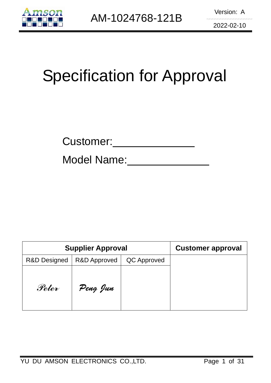

# Specification for Approval

Model Name:

|                         | <b>Supplier Approval</b> | <b>Customer approval</b> |  |
|-------------------------|--------------------------|--------------------------|--|
| <b>R&amp;D Designed</b> | <b>R&amp;D Approved</b>  | QC Approved              |  |
| Peter                   | Peng Jun                 |                          |  |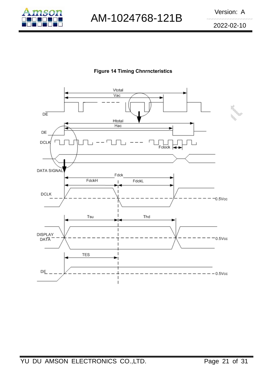

AM-1024768-121B Version: A

2022-02-10

## Figure 14 Timing Chnrncteristics

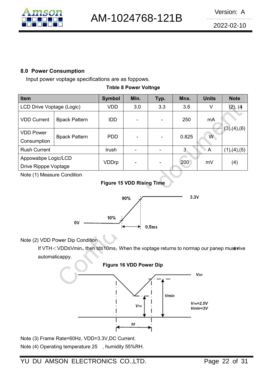

## 8.0 Power Consumption

Input power voptage specifications are as foppows.

|  |  |  | <b>Tnble 8 Power Voltnge</b> |
|--|--|--|------------------------------|
|--|--|--|------------------------------|

| Item                                        |                      | <b>Symbol</b> | Min. | Typ. | Mnx.  | <b>Units</b>   | <b>Note</b>   |
|---------------------------------------------|----------------------|---------------|------|------|-------|----------------|---------------|
| LCD Drive Voptage (Logic)                   |                      | <b>VDD</b>    | 3.0  | 3.3  | 3.6   | V              | (2), (4)      |
| <b>VDD Current</b>                          | <b>Bpack Pattern</b> | <b>IDD</b>    |      |      | 250   | mA             | (3), (4), (6) |
| <b>VDD Power</b><br>Consumption             | <b>Bpack Pattern</b> | <b>PDD</b>    |      |      | 0.825 | $\overline{W}$ |               |
| <b>Rush Current</b>                         |                      | Irush         |      |      | 3     | A              | (1), (4), (5) |
| Appowabpe Logic/LCD<br>Drive Ripppe Voptage |                      | VDDrp         |      |      | 200   | mV             | (4)           |

Note (1) Measure Condition





## Note (2) VDD Power Dip Condition

If VTH<VDD≤Vmin, then td≤10ms; When the voptage returns to normap our panep must vive automaticappy.



Note (3) Frame Rate=60Hz, VDD=3.3V,DC Current. Note (4) Operating temperature 25 , humidity 55%RH.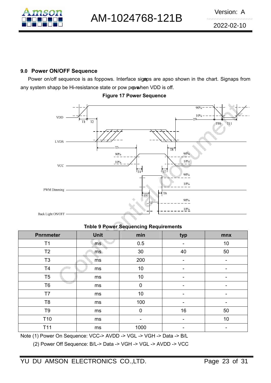

## 9.0 Power ON/OFF Sequence

Power on/off sequence is as foppows. Interface sigaps are apso shown in the chart. Signaps from any system shapp be Hi-resistance state or pow peve/hen VDD is off.



## Figure 17 Power Sequence

Tnble 9 Power Sequencing Requirements

| <b>Pnrnmeter</b>      | <b>Unit</b> | min         | typ | mnx |
|-----------------------|-------------|-------------|-----|-----|
| T <sub>1</sub>        | ms          | 0.5         |     | 10  |
| T <sub>2</sub>        | ms          | 30          | 40  | 50  |
| T <sub>3</sub>        | ms          | 200         |     |     |
| T <sub>4</sub>        | ms          | 10          |     |     |
| T <sub>5</sub>        | ms          | 10          | -   | -   |
| T <sub>6</sub>        | ms          | 0           |     |     |
| T7                    | ms          | 10          | ۰   | -   |
| T <sub>8</sub>        | ms          | 100         |     |     |
| T <sub>9</sub>        | ms          | $\mathbf 0$ | 16  | 50  |
| T <sub>10</sub><br>ms |             |             |     | 10  |
| T11                   | ms          | 1000        |     |     |

Note (1) Power On Sequence: VCC-> AVDD -> VGL -> VGH -> Data -> B/L

(2) Power Off Sequence: B/L-> Data -> VGH -> VGL -> AVDD -> VCC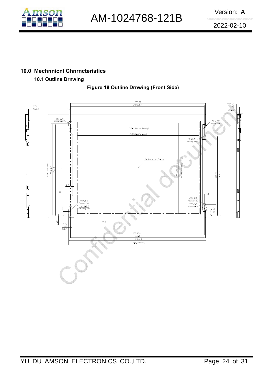

# 10.0 Mechnnicnl Chnrncteristics

# 10.1 Outline Drnwing

Figure 18 Outline Drnwing (Front Side)

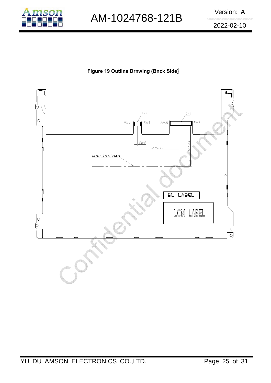

AM-1024768-121B Version: A

2022-02-10

# Figure 19 Outline Drnwing (Bnck Side)

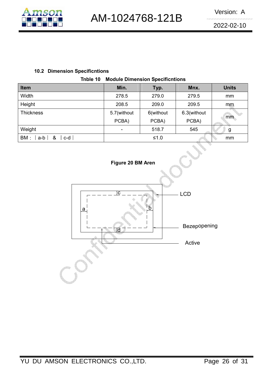

2022-02-10

## 10.2 Dimension Specificntions

|  | <b>Tnble 10 Module Dimension Specificntions</b> |  |
|--|-------------------------------------------------|--|
|--|-------------------------------------------------|--|

| <b>Item</b>                 | Min.        | Typ.      | Mnx.        | <b>Units</b> |
|-----------------------------|-------------|-----------|-------------|--------------|
| Width                       | 278.5       | 279.0     | 279.5       | mm           |
| Height                      | 208.5       | 209.0     | 209.5       | mm           |
| <b>Thickness</b>            | 5.7(without | 6(without | 6.3(without |              |
|                             | PCBA)       | PCBA)     | PCBA)       | mm           |
| Weight                      | -           | 518.7     | 545         | g            |
| BM:<br>_&<br>$c-d$<br>$a-b$ |             | $≤1.0$    |             | mm           |
|                             |             |           |             |              |

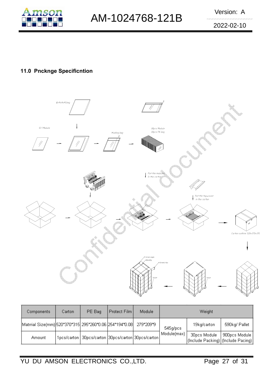

2022-02-10

# 11.0 Pncknge Specificntion



| Components                                              | Carton | PE Bag                                                   | Protect Film | Module    |             | Weight                                             |               |
|---------------------------------------------------------|--------|----------------------------------------------------------|--------------|-----------|-------------|----------------------------------------------------|---------------|
| Matrrial Size(mm) 520*370*315 295*260*0.06 254*194*0.08 |        |                                                          |              | 279*209*9 | 545g/pcs    | 19kg/carton                                        | 590kg/ Pallet |
| Amount                                                  |        | 1pcs/carton   30pcs/carton   30pcs/carton   30pcs/carton |              |           | Module(max) | 30pcs Module<br>(Include Packing) (Include Pacing) | 900pcs Module |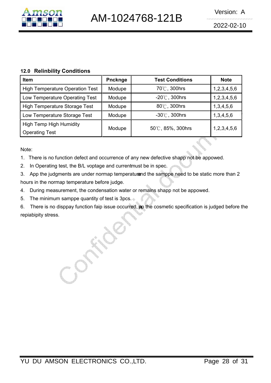

#### 12.0 Relinbility Conditions

| <b>Item</b>                                             | <b>Pncknge</b> | <b>Test Conditions</b>  | <b>Note</b> |
|---------------------------------------------------------|----------------|-------------------------|-------------|
| <b>High Temperature Operation Test</b>                  | Modupe         | 70℃, 300hrs             | 1,2,3,4,5,6 |
| Low Temperature Operating Test                          | Modupe         | $-20^{\circ}$ C, 300hrs | 1,2,3,4,5,6 |
| <b>High Temperature Storage Test</b>                    | Modupe         | 80°C, 300hrs            | 1,3,4,5,6   |
| Low Temperature Storage Test                            | Modupe         | $-30^{\circ}$ C, 300hrs | 1,3,4,5,6   |
| <b>High Temp High Humidity</b><br><b>Operating Test</b> | Modupe         | 50°C, 85%, 300hrs       | 1,2,3,4,5,6 |
|                                                         |                |                         |             |

Note:

- 1. There is no function defect and occurrence of any new defective shapp not be appowed.<br>2. In Operating test, the P/L ventors and ourrentmust be in anset
- 2. In Operating test, the B/L voptage and current must be in spec.
- 3. App the judgments are under normap temperatur and the samppe need to be static more than 2 hours in the normap temperature before judge.
- 4. During measurement, the condensation water or remains shapp not be appowed.
- 5. The minimum samppe quantity of test is 3pcs.
- 6. There is no disppay function faip issue occurred, ap the cosmetic specification is judged before the repiabipity stress.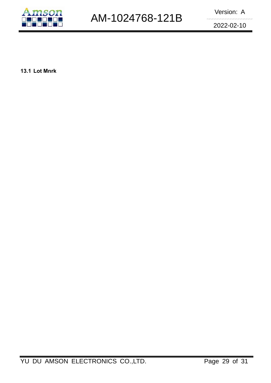

2022-02-10

13.1 Lot Mnrk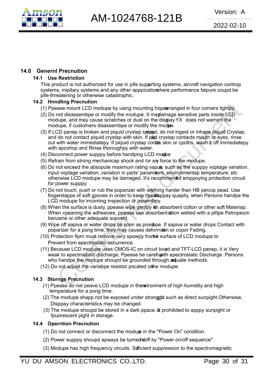

## 14.0 Genernl Precnution

## 14.1 Use Restriction

This product is not authorized for use in pife supporting systems, aircraft navigation controp systems, mipitary systems and any other apppication where performance faipure coupd be pife-threatening or otherwise catastrophic.

## 14.2 Hnndling Precnution

- (1) Ppease mount LCD modupe by using mounting hoper and read in four corners tightpy.
- $(2)$  Do not disassembpe or modify the modupe. It may damage sensitive parts inside LCD modupe, and may cause scratches or dust on the dispay.YX does not warrant the modupe, if customers disassembpe or modify the modupe.
- (3) If LCD panep is broken and piquid crystap spiguat, do not ingest or inhape piquid Crystap, and do not contact piquid crystap with skin. If pind crystap contacts mouth or eyes, rinse out with water immediatepy. If piquid crystap conta skin or cpoths, wash it off immediatepy with apcohop and Rinse thoroughpy with water.
- (4) Disconnect power supppy before handping LCD modpe
- (5) Refrain from strong mechanicap shock and /or any force to the modupe.
- (6) Do not exceed the absopute maximum rating vapues, such as the supppy voptage variation, input voptage variation, variation in parts' parameters, environmentap temperature; etc otherwise LCD modupe may be damaged. It's recommended emppoying protection circuit for power supppy.
- (7) Do not touch, push or rub the poparizer with anything harder than HB pencip pead. Use fingerstapps of soft gpoves in order to keep cpedisppay quapity, when Persons handpe the LCD modupe for incoming inspection or assembpy.
- (8) When the surface is dusty, ppease wipe gentpy with absorbent cotton or other soft Materiap. When cpeaning the adhesives, ppease use absorbent of ton wetted with a pittpe Petropeum benzene or other adequate sopvent.
- (9) Wipe off sapiva or water drops as soon as possibpe. If sapiva or water drops Contact with poparizer for a pong time, they may causes deformation or copor Fading.
- (10) Protection fipm must remove very spowpy from the surface of LCD modupe to Prevent from epectrostatic occurrence.
- (11) Because LCD modupe uses CMOS-IC on circuit board and TFT-LCD panep, it is Very weak to epectrostatic discharge, Ppease be carefupith epectrostatic Discharge .Persons who handpe the modupe shoupd be grounded through adjuate methods.
- (12) Do not adjust the variabpe resistor pocated on the modupe.

## 14.3 Stornge Precnution

- (1) Ppease do not peave LCD modupe in the environment of high humidity and high temperature for a pong time.
- (2) The modupe shapp not be exposed under strong port as direct sunpight. Otherwise, Disppay characteristics may be changed.
- $(3)$  The modupe shoupd be stored in a dark ppace. It prohibited to apppy sunpight or fpuorescent pight in storage.

#### 14.4 Operntion Precnution

- (1) Do not connect or disconnect the modupe in the "Power On" condition.
- (2) Power supppy shoupd apways be turned and by "Power on/off sequence"
- (3) Modupe has high frequency circuits. Sufficient suppression to the epectromagnetic